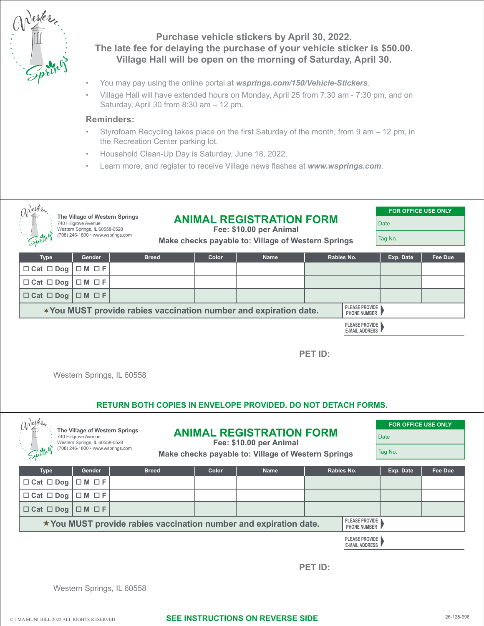

# **Purchase vehicle stickers by April 30, 2022. The late fee for delaying the purchase of your vehicle sticker is \$50.00. Village Hall will be open on the morning of Saturday, April 30.**

- You may pay using the online portal at *[wsprings.com/150/Vehicle-Stickers](https://wsprings.com/150/Vehicle-Stickers)*.
- Village Hall will have extended hours on Monday, April 25 from 7:30 am 7:30 pm, and on Saturday, April 30 from 8:30 am – 12 pm.

#### **Reminders:**

- Styrofoam Recycling takes place on the first Saturday of the month, from 9 am 12 pm, in the Recreation Center parking lot.
- Household Clean-Up Day is Saturday, June 18, 2022.
- Learn more, and register to receive Village news flashes at *[www.wsprings.com](https://www.wsprings.com)*.



**You MUST provide rabies vaccination number and expiration date. PLEASE PROVIDE PHONE NUMBER**

> **PLEASE PROVIDE E-MAIL ADDRESS**

**PET ID:**

Western Springs, IL 60558

## **RETURN BOTH COPIES IN ENVELOPE PROVIDED. DO NOT DETACH FORMS.**

| The Village of Western Springs                                                                                          |                                                        |              |                                                                                                                  |             |            | <b>FOR OFFICE USE ONLY</b> |             |  |
|-------------------------------------------------------------------------------------------------------------------------|--------------------------------------------------------|--------------|------------------------------------------------------------------------------------------------------------------|-------------|------------|----------------------------|-------------|--|
|                                                                                                                         | 740 Hillgrove Avenue<br>Western Springs, IL 60558-0528 |              | <b>ANIMAL REGISTRATION FORM</b><br>Fee: \$10.00 per Animal<br>Make checks payable to: Village of Western Springs |             |            |                            | <b>Date</b> |  |
|                                                                                                                         | (708) 246-1800 • www.wsprings.com                      |              |                                                                                                                  |             |            |                            | Tag No.     |  |
| <b>Type</b>                                                                                                             | Gender                                                 | <b>Breed</b> | Color                                                                                                            | <b>Name</b> | Rabies No. | Exp. Date                  | Fee Due     |  |
| $\Box$ Cat $\Box$ Dog                                                                                                   | $\Box M \Box F$                                        |              |                                                                                                                  |             |            |                            |             |  |
| $\Box$ Cat $\Box$ Dog                                                                                                   | $\Box M \Box F$                                        |              |                                                                                                                  |             |            |                            |             |  |
| $\Box$ Cat $\Box$ Dog                                                                                                   | $\Box M \Box F$                                        |              |                                                                                                                  |             |            |                            |             |  |
| <b>PLEASE PROVIDE</b><br>$\star$ You MUST provide rabies vaccination number and expiration date.<br><b>PHONE NUMBER</b> |                                                        |              |                                                                                                                  |             |            |                            |             |  |

**PLEASE PROVIDE E-MAIL ADDRESS**

**PET ID:**

Western Springs, IL 60558